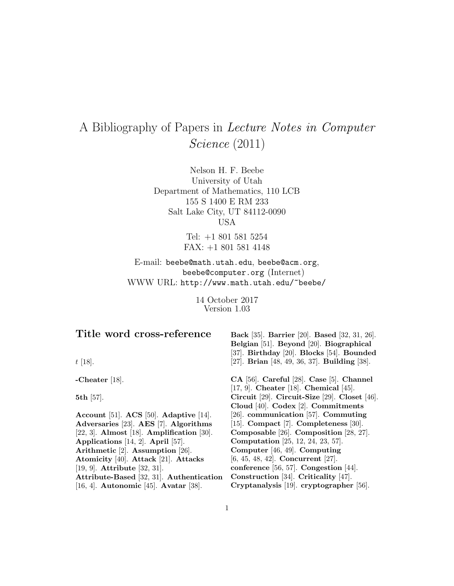# A Bibliography of Papers in Lecture Notes in Computer Science (2011)

Nelson H. F. Beebe University of Utah Department of Mathematics, 110 LCB 155 S 1400 E RM 233 Salt Lake City, UT 84112-0090 USA

> Tel: +1 801 581 5254 FAX: +1 801 581 4148

E-mail: beebe@math.utah.edu, beebe@acm.org, beebe@computer.org (Internet) WWW URL: http://www.math.utah.edu/~beebe/

> 14 October 2017 Version 1.03

# **Title word cross-reference**

t [18].

**-Cheater** [18].

**5th** [57].

**Account** [51]. **ACS** [50]. **Adaptive** [14]. **Adversaries** [23]. **AES** [7]. **Algorithms** [22, 3]. **Almost** [18]. **Amplification** [30]. **Applications** [14, 2]. **April** [57]. **Arithmetic** [2]. **Assumption** [26]. **Atomicity** [40]. **Attack** [21]. **Attacks** [19, 9]. **Attribute** [32, 31]. **Attribute-Based** [32, 31]. **Authentication** [16, 4]. **Autonomic** [45]. **Avatar** [38].

**Back** [35]. **Barrier** [20]. **Based** [32, 31, 26]. **Belgian** [51]. **Beyond** [20]. **Biographical** [37]. **Birthday** [20]. **Blocks** [54]. **Bounded** [27]. **Brian** [48, 49, 36, 37]. **Building** [38].

**CA** [56]. **Careful** [28]. **Case** [5]. **Channel** [17, 9]. **Cheater** [18]. **Chemical** [45]. **Circuit** [29]. **Circuit-Size** [29]. **Closet** [46]. **Cloud** [40]. **Codex** [2]. **Commitments** [26]. **communication** [57]. **Commuting** [15]. **Compact** [7]. **Completeness** [30]. **Composable** [26]. **Composition** [28, 27]. **Computation** [25, 12, 24, 23, 57]. **Computer** [46, 49]. **Computing** [6, 45, 48, 42]. **Concurrent** [27]. **conference** [56, 57]. **Congestion** [44]. **Construction** [34]. **Criticality** [47]. **Cryptanalysis** [19]. **cryptographer** [56].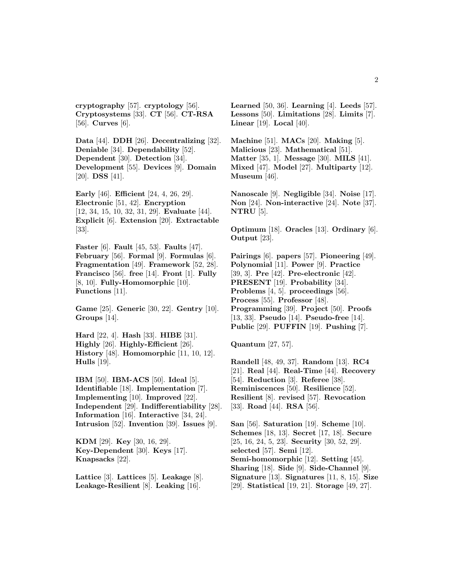**cryptography** [57]. **cryptology** [56]. **Cryptosystems** [33]. **CT** [56]. **CT-RSA** [56]. **Curves** [6].

**Data** [44]. **DDH** [26]. **Decentralizing** [32]. **Deniable** [34]. **Dependability** [52]. **Dependent** [30]. **Detection** [34]. **Development** [55]. **Devices** [9]. **Domain** [20]. **DSS** [41].

**Early** [46]. **Efficient** [24, 4, 26, 29]. **Electronic** [51, 42]. **Encryption** [12, 34, 15, 10, 32, 31, 29]. **Evaluate** [44]. **Explicit** [6]. **Extension** [20]. **Extractable** [33].

**Faster** [6]. **Fault** [45, 53]. **Faults** [47]. **February** [56]. **Formal** [9]. **Formulas** [6]. **Fragmentation** [49]. **Framework** [52, 28]. **Francisco** [56]. **free** [14]. **Front** [1]. **Fully** [8, 10]. **Fully-Homomorphic** [10]. **Functions** [11].

**Game** [25]. **Generic** [30, 22]. **Gentry** [10]. **Groups** [14].

**Hard** [22, 4]. **Hash** [33]. **HIBE** [31]. **Highly** [26]. **Highly-Efficient** [26]. **History** [48]. **Homomorphic** [11, 10, 12]. **Hulls** [19].

**IBM** [50]. **IBM-ACS** [50]. **Ideal** [5]. **Identifiable** [18]. **Implementation** [7]. **Implementing** [10]. **Improved** [22]. **Independent** [29]. **Indifferentiability** [28]. **Information** [16]. **Interactive** [34, 24]. **Intrusion** [52]. **Invention** [39]. **Issues** [9].

**KDM** [29]. **Key** [30, 16, 29]. **Key-Dependent** [30]. **Keys** [17]. **Knapsacks** [22].

**Lattice** [3]. **Lattices** [5]. **Leakage** [8]. **Leakage-Resilient** [8]. **Leaking** [16].

**Learned** [50, 36]. **Learning** [4]. **Leeds** [57]. **Lessons** [50]. **Limitations** [28]. **Limits** [7]. **Linear** [19]. **Local** [40].

**Machine** [51]. **MACs** [20]. **Making** [5]. **Malicious** [23]. **Mathematical** [51]. **Matter** [35, 1]. **Message** [30]. **MILS** [41]. **Mixed** [47]. **Model** [27]. **Multiparty** [12]. **Museum** [46].

**Nanoscale** [9]. **Negligible** [34]. **Noise** [17]. **Non** [24]. **Non-interactive** [24]. **Note** [37]. **NTRU** [5].

**Optimum** [18]. **Oracles** [13]. **Ordinary** [6]. **Output** [23].

**Pairings** [6]. **papers** [57]. **Pioneering** [49]. **Polynomial** [11]. **Power** [9]. **Practice** [39, 3]. **Pre** [42]. **Pre-electronic** [42]. **PRESENT** [19]. **Probability** [34]. **Problems** [4, 5]. **proceedings** [56]. **Process** [55]. **Professor** [48]. **Programming** [39]. **Project** [50]. **Proofs** [13, 33]. **Pseudo** [14]. **Pseudo-free** [14]. **Public** [29]. **PUFFIN** [19]. **Pushing** [7].

**Quantum** [27, 57].

**Randell** [48, 49, 37]. **Random** [13]. **RC4** [21]. **Real** [44]. **Real-Time** [44]. **Recovery** [54]. **Reduction** [3]. **Referee** [38]. **Reminiscences** [50]. **Resilience** [52]. **Resilient** [8]. **revised** [57]. **Revocation** [33]. **Road** [44]. **RSA** [56].

**San** [56]. **Saturation** [19]. **Scheme** [10]. **Schemes** [18, 13]. **Secret** [17, 18]. **Secure** [25, 16, 24, 5, 23]. **Security** [30, 52, 29]. **selected** [57]. **Semi** [12]. **Semi-homomorphic** [12]. **Setting** [45]. **Sharing** [18]. **Side** [9]. **Side-Channel** [9]. **Signature** [13]. **Signatures** [11, 8, 15]. **Size** [29]. **Statistical** [19, 21]. **Storage** [49, 27].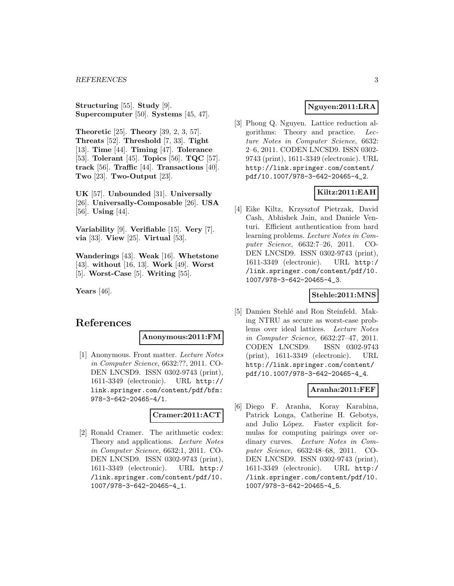**Structuring** [55]. **Study** [9]. **Supercomputer** [50]. **Systems** [45, 47].

**Theoretic** [25]. **Theory** [39, 2, 3, 57]. **Threats** [52]. **Threshold** [7, 33]. **Tight** [13]. **Time** [44]. **Timing** [47]. **Tolerance** [53]. **Tolerant** [45]. **Topics** [56]. **TQC** [57]. **track** [56]. **Traffic** [44]. **Transactions** [40]. **Two** [23]. **Two-Output** [23].

**UK** [57]. **Unbounded** [31]. **Universally** [26]. **Universally-Composable** [26]. **USA** [56]. **Using** [44].

**Variability** [9]. **Verifiable** [15]. **Very** [7]. **via** [33]. **View** [25]. **Virtual** [53].

**Wanderings** [43]. **Weak** [16]. **Whetstone** [43]. **without** [16, 13]. **Work** [49]. **Worst** [5]. **Worst-Case** [5]. **Writing** [55].

**Years** [46].

# **References**

#### **Anonymous:2011:FM**

[1] Anonymous. Front matter. Lecture Notes in Computer Science, 6632:??, 2011. CO-DEN LNCSD9. ISSN 0302-9743 (print), 1611-3349 (electronic). URL http:// link.springer.com/content/pdf/bfm: 978-3-642-20465-4/1.

# **Cramer:2011:ACT**

[2] Ronald Cramer. The arithmetic codex: Theory and applications. Lecture Notes in Computer Science, 6632:1, 2011. CO-DEN LNCSD9. ISSN 0302-9743 (print), 1611-3349 (electronic). URL http:/ /link.springer.com/content/pdf/10. 1007/978-3-642-20465-4\_1.

# **Nguyen:2011:LRA**

[3] Phong Q. Nguyen. Lattice reduction algorithms: Theory and practice. Lecture Notes in Computer Science, 6632: 2–6, 2011. CODEN LNCSD9. ISSN 0302- 9743 (print), 1611-3349 (electronic). URL http://link.springer.com/content/ pdf/10.1007/978-3-642-20465-4\_2.

# **Kiltz:2011:EAH**

[4] Eike Kiltz, Krzysztof Pietrzak, David Cash, Abhishek Jain, and Daniele Venturi. Efficient authentication from hard learning problems. Lecture Notes in Computer Science, 6632:7–26, 2011. CO-DEN LNCSD9. ISSN 0302-9743 (print), 1611-3349 (electronic). URL http:/ /link.springer.com/content/pdf/10. 1007/978-3-642-20465-4\_3.

#### **Stehle:2011:MNS**

[5] Damien Stehlé and Ron Steinfeld. Making NTRU as secure as worst-case problems over ideal lattices. Lecture Notes in Computer Science, 6632:27–47, 2011. CODEN LNCSD9. ISSN 0302-9743 (print), 1611-3349 (electronic). URL http://link.springer.com/content/ pdf/10.1007/978-3-642-20465-4\_4.

# **Aranha:2011:FEF**

[6] Diego F. Aranha, Koray Karabina, Patrick Longa, Catherine H. Gebotys, and Julio López. Faster explicit formulas for computing pairings over ordinary curves. Lecture Notes in Computer Science, 6632:48–68, 2011. CO-DEN LNCSD9. ISSN 0302-9743 (print), 1611-3349 (electronic). URL http:/ /link.springer.com/content/pdf/10. 1007/978-3-642-20465-4\_5.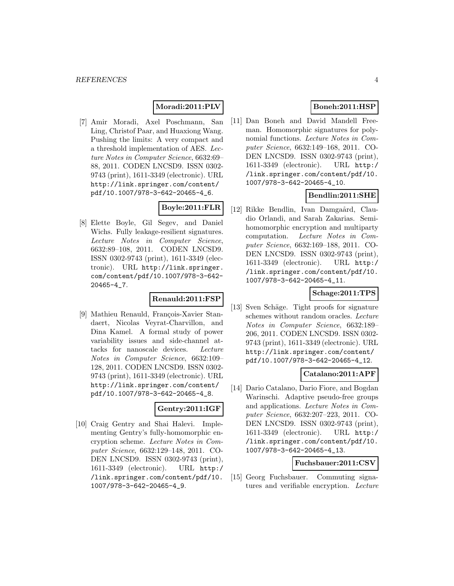# **Moradi:2011:PLV**

[7] Amir Moradi, Axel Poschmann, San Ling, Christof Paar, and Huaxiong Wang. Pushing the limits: A very compact and a threshold implementation of AES. Lecture Notes in Computer Science, 6632:69– 88, 2011. CODEN LNCSD9. ISSN 0302- 9743 (print), 1611-3349 (electronic). URL http://link.springer.com/content/ pdf/10.1007/978-3-642-20465-4\_6.

# **Boyle:2011:FLR**

[8] Elette Boyle, Gil Segev, and Daniel Wichs. Fully leakage-resilient signatures. Lecture Notes in Computer Science, 6632:89–108, 2011. CODEN LNCSD9. ISSN 0302-9743 (print), 1611-3349 (electronic). URL http://link.springer. com/content/pdf/10.1007/978-3-642- 20465-4\_7.

#### **Renauld:2011:FSP**

[9] Mathieu Renauld, François-Xavier Standaert, Nicolas Veyrat-Charvillon, and Dina Kamel. A formal study of power variability issues and side-channel attacks for nanoscale devices. Lecture Notes in Computer Science, 6632:109– 128, 2011. CODEN LNCSD9. ISSN 0302- 9743 (print), 1611-3349 (electronic). URL http://link.springer.com/content/ pdf/10.1007/978-3-642-20465-4\_8.

# **Gentry:2011:IGF**

[10] Craig Gentry and Shai Halevi. Implementing Gentry's fully-homomorphic encryption scheme. Lecture Notes in Computer Science, 6632:129–148, 2011. CO-DEN LNCSD9. ISSN 0302-9743 (print), 1611-3349 (electronic). URL http:/ /link.springer.com/content/pdf/10. 1007/978-3-642-20465-4\_9.

# **Boneh:2011:HSP**

[11] Dan Boneh and David Mandell Freeman. Homomorphic signatures for polynomial functions. Lecture Notes in Computer Science, 6632:149–168, 2011. CO-DEN LNCSD9. ISSN 0302-9743 (print), 1611-3349 (electronic). URL http:/ /link.springer.com/content/pdf/10. 1007/978-3-642-20465-4\_10.

# **Bendlin:2011:SHE**

[12] Rikke Bendlin, Ivan Damgaård, Claudio Orlandi, and Sarah Zakarias. Semihomomorphic encryption and multiparty computation. Lecture Notes in Computer Science, 6632:169–188, 2011. CO-DEN LNCSD9. ISSN 0302-9743 (print), 1611-3349 (electronic). URL http:/ /link.springer.com/content/pdf/10. 1007/978-3-642-20465-4\_11.

# **Schage:2011:TPS**

[13] Sven Schäge. Tight proofs for signature schemes without random oracles. Lecture Notes in Computer Science, 6632:189– 206, 2011. CODEN LNCSD9. ISSN 0302- 9743 (print), 1611-3349 (electronic). URL http://link.springer.com/content/ pdf/10.1007/978-3-642-20465-4\_12.

# **Catalano:2011:APF**

[14] Dario Catalano, Dario Fiore, and Bogdan Warinschi. Adaptive pseudo-free groups and applications. Lecture Notes in Computer Science, 6632:207–223, 2011. CO-DEN LNCSD9. ISSN 0302-9743 (print), 1611-3349 (electronic). URL http:/ /link.springer.com/content/pdf/10. 1007/978-3-642-20465-4\_13.

#### **Fuchsbauer:2011:CSV**

[15] Georg Fuchsbauer. Commuting signatures and verifiable encryption. Lecture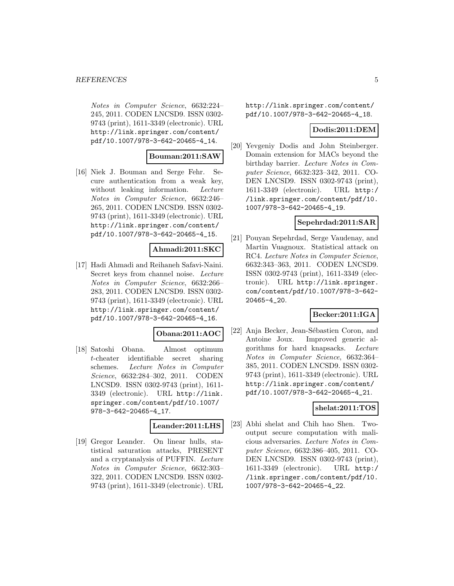Notes in Computer Science, 6632:224– 245, 2011. CODEN LNCSD9. ISSN 0302- 9743 (print), 1611-3349 (electronic). URL http://link.springer.com/content/ pdf/10.1007/978-3-642-20465-4\_14.

#### **Bouman:2011:SAW**

[16] Niek J. Bouman and Serge Fehr. Secure authentication from a weak key, without leaking information. Lecture Notes in Computer Science, 6632:246– 265, 2011. CODEN LNCSD9. ISSN 0302- 9743 (print), 1611-3349 (electronic). URL http://link.springer.com/content/ pdf/10.1007/978-3-642-20465-4\_15.

#### **Ahmadi:2011:SKC**

[17] Hadi Ahmadi and Reihaneh Safavi-Naini. Secret keys from channel noise. Lecture Notes in Computer Science, 6632:266– 283, 2011. CODEN LNCSD9. ISSN 0302- 9743 (print), 1611-3349 (electronic). URL http://link.springer.com/content/ pdf/10.1007/978-3-642-20465-4\_16.

#### **Obana:2011:AOC**

[18] Satoshi Obana. Almost optimum t-cheater identifiable secret sharing schemes. Lecture Notes in Computer Science, 6632:284–302, 2011. CODEN LNCSD9. ISSN 0302-9743 (print), 1611- 3349 (electronic). URL http://link. springer.com/content/pdf/10.1007/ 978-3-642-20465-4\_17.

#### **Leander:2011:LHS**

[19] Gregor Leander. On linear hulls, statistical saturation attacks, PRESENT and a cryptanalysis of PUFFIN. Lecture Notes in Computer Science, 6632:303– 322, 2011. CODEN LNCSD9. ISSN 0302- 9743 (print), 1611-3349 (electronic). URL

http://link.springer.com/content/ pdf/10.1007/978-3-642-20465-4\_18.

#### **Dodis:2011:DEM**

[20] Yevgeniy Dodis and John Steinberger. Domain extension for MACs beyond the birthday barrier. Lecture Notes in Computer Science, 6632:323–342, 2011. CO-DEN LNCSD9. ISSN 0302-9743 (print), 1611-3349 (electronic). URL http:/ /link.springer.com/content/pdf/10. 1007/978-3-642-20465-4\_19.

#### **Sepehrdad:2011:SAR**

[21] Pouyan Sepehrdad, Serge Vaudenay, and Martin Vuagnoux. Statistical attack on RC4. Lecture Notes in Computer Science, 6632:343–363, 2011. CODEN LNCSD9. ISSN 0302-9743 (print), 1611-3349 (electronic). URL http://link.springer. com/content/pdf/10.1007/978-3-642- 20465-4\_20.

#### **Becker:2011:IGA**

[22] Anja Becker, Jean-Sébastien Coron, and Antoine Joux. Improved generic algorithms for hard knapsacks. Lecture Notes in Computer Science, 6632:364– 385, 2011. CODEN LNCSD9. ISSN 0302- 9743 (print), 1611-3349 (electronic). URL http://link.springer.com/content/ pdf/10.1007/978-3-642-20465-4\_21.

#### **shelat:2011:TOS**

[23] Abhi shelat and Chih hao Shen. Twooutput secure computation with malicious adversaries. Lecture Notes in Computer Science, 6632:386–405, 2011. CO-DEN LNCSD9. ISSN 0302-9743 (print), 1611-3349 (electronic). URL http:/ /link.springer.com/content/pdf/10. 1007/978-3-642-20465-4\_22.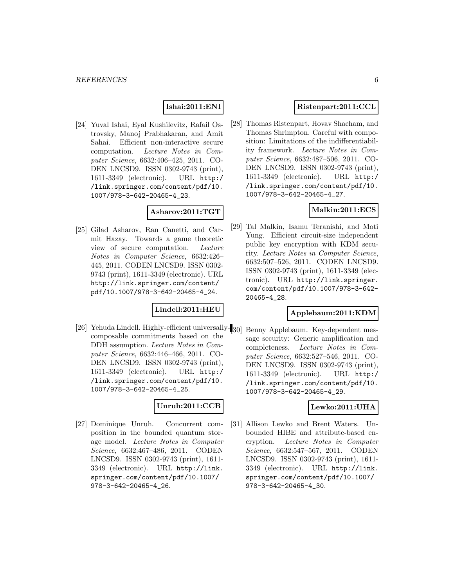### **Ishai:2011:ENI**

[24] Yuval Ishai, Eyal Kushilevitz, Rafail Ostrovsky, Manoj Prabhakaran, and Amit Sahai. Efficient non-interactive secure computation. Lecture Notes in Computer Science, 6632:406–425, 2011. CO-DEN LNCSD9. ISSN 0302-9743 (print), 1611-3349 (electronic). URL http:/ /link.springer.com/content/pdf/10. 1007/978-3-642-20465-4\_23.

#### **Asharov:2011:TGT**

[25] Gilad Asharov, Ran Canetti, and Carmit Hazay. Towards a game theoretic view of secure computation. Lecture Notes in Computer Science, 6632:426– 445, 2011. CODEN LNCSD9. ISSN 0302- 9743 (print), 1611-3349 (electronic). URL http://link.springer.com/content/ pdf/10.1007/978-3-642-20465-4\_24.

# **Lindell:2011:HEU**

[26] Yehuda Lindell. Highly-efficient universally- $_{30}$ ] composable commitments based on the DDH assumption. Lecture Notes in Computer Science, 6632:446–466, 2011. CO-DEN LNCSD9. ISSN 0302-9743 (print), 1611-3349 (electronic). URL http:/ /link.springer.com/content/pdf/10. 1007/978-3-642-20465-4\_25.

# **Unruh:2011:CCB**

[27] Dominique Unruh. Concurrent composition in the bounded quantum storage model. Lecture Notes in Computer Science, 6632:467–486, 2011. CODEN LNCSD9. ISSN 0302-9743 (print), 1611- 3349 (electronic). URL http://link. springer.com/content/pdf/10.1007/ 978-3-642-20465-4\_26.

## **Ristenpart:2011:CCL**

[28] Thomas Ristenpart, Hovav Shacham, and Thomas Shrimpton. Careful with composition: Limitations of the indifferentiability framework. Lecture Notes in Computer Science, 6632:487–506, 2011. CO-DEN LNCSD9. ISSN 0302-9743 (print), 1611-3349 (electronic). URL http:/ /link.springer.com/content/pdf/10. 1007/978-3-642-20465-4\_27.

# **Malkin:2011:ECS**

[29] Tal Malkin, Isamu Teranishi, and Moti Yung. Efficient circuit-size independent public key encryption with KDM security. Lecture Notes in Computer Science, 6632:507–526, 2011. CODEN LNCSD9. ISSN 0302-9743 (print), 1611-3349 (electronic). URL http://link.springer. com/content/pdf/10.1007/978-3-642- 20465-4\_28.

# **Applebaum:2011:KDM**

Benny Applebaum. Key-dependent message security: Generic amplification and completeness. Lecture Notes in Computer Science, 6632:527–546, 2011. CO-DEN LNCSD9. ISSN 0302-9743 (print), 1611-3349 (electronic). URL http:/ /link.springer.com/content/pdf/10. 1007/978-3-642-20465-4\_29.

# **Lewko:2011:UHA**

[31] Allison Lewko and Brent Waters. Unbounded HIBE and attribute-based encryption. Lecture Notes in Computer Science, 6632:547–567, 2011. CODEN LNCSD9. ISSN 0302-9743 (print), 1611- 3349 (electronic). URL http://link. springer.com/content/pdf/10.1007/ 978-3-642-20465-4\_30.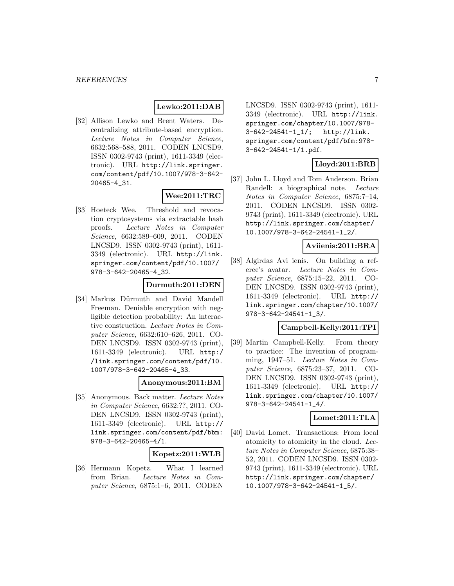## **Lewko:2011:DAB**

[32] Allison Lewko and Brent Waters. Decentralizing attribute-based encryption. Lecture Notes in Computer Science, 6632:568–588, 2011. CODEN LNCSD9. ISSN 0302-9743 (print), 1611-3349 (electronic). URL http://link.springer. com/content/pdf/10.1007/978-3-642- 20465-4\_31.

# **Wee:2011:TRC**

[33] Hoeteck Wee. Threshold and revocation cryptosystems via extractable hash proofs. Lecture Notes in Computer Science, 6632:589–609, 2011. CODEN LNCSD9. ISSN 0302-9743 (print), 1611- 3349 (electronic). URL http://link. springer.com/content/pdf/10.1007/ 978-3-642-20465-4\_32.

#### **Durmuth:2011:DEN**

[34] Markus Dürmuth and David Mandell Freeman. Deniable encryption with negligible detection probability: An interactive construction. Lecture Notes in Computer Science, 6632:610–626, 2011. CO-DEN LNCSD9. ISSN 0302-9743 (print), 1611-3349 (electronic). URL http:/ /link.springer.com/content/pdf/10. 1007/978-3-642-20465-4\_33.

#### **Anonymous:2011:BM**

[35] Anonymous. Back matter. Lecture Notes in Computer Science, 6632:??, 2011. CO-DEN LNCSD9. ISSN 0302-9743 (print), 1611-3349 (electronic). URL http:// link.springer.com/content/pdf/bbm: 978-3-642-20465-4/1.

#### **Kopetz:2011:WLB**

[36] Hermann Kopetz. What I learned from Brian. Lecture Notes in Computer Science, 6875:1–6, 2011. CODEN LNCSD9. ISSN 0302-9743 (print), 1611- 3349 (electronic). URL http://link. springer.com/chapter/10.1007/978- 3-642-24541-1\_1/; http://link. springer.com/content/pdf/bfm:978- 3-642-24541-1/1.pdf.

### **Lloyd:2011:BRB**

[37] John L. Lloyd and Tom Anderson. Brian Randell: a biographical note. Lecture Notes in Computer Science, 6875:7–14, 2011. CODEN LNCSD9. ISSN 0302- 9743 (print), 1611-3349 (electronic). URL http://link.springer.com/chapter/ 10.1007/978-3-642-24541-1\_2/.

### **Aviienis:2011:BRA**

[38] Algirdas Avi ienis. On building a referee's avatar. Lecture Notes in Computer Science, 6875:15–22, 2011. CO-DEN LNCSD9. ISSN 0302-9743 (print), 1611-3349 (electronic). URL http:// link.springer.com/chapter/10.1007/ 978-3-642-24541-1\_3/.

#### **Campbell-Kelly:2011:TPI**

[39] Martin Campbell-Kelly. From theory to practice: The invention of programming, 1947–51. Lecture Notes in Computer Science, 6875:23–37, 2011. CO-DEN LNCSD9. ISSN 0302-9743 (print), 1611-3349 (electronic). URL http:// link.springer.com/chapter/10.1007/ 978-3-642-24541-1\_4/.

#### **Lomet:2011:TLA**

[40] David Lomet. Transactions: From local atomicity to atomicity in the cloud. Lecture Notes in Computer Science, 6875:38– 52, 2011. CODEN LNCSD9. ISSN 0302- 9743 (print), 1611-3349 (electronic). URL http://link.springer.com/chapter/ 10.1007/978-3-642-24541-1\_5/.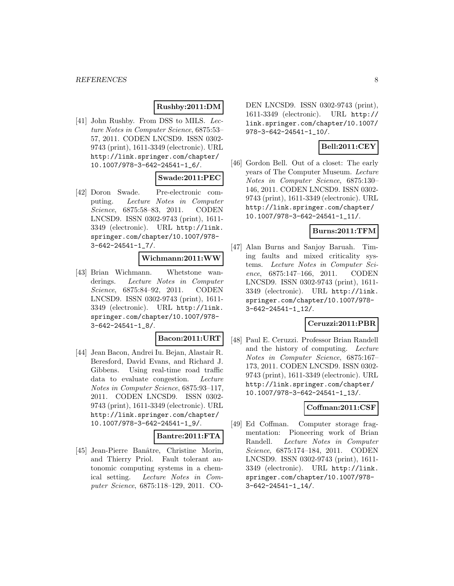# **Rushby:2011:DM**

[41] John Rushby. From DSS to MILS. Lecture Notes in Computer Science, 6875:53– 57, 2011. CODEN LNCSD9. ISSN 0302- 9743 (print), 1611-3349 (electronic). URL http://link.springer.com/chapter/ 10.1007/978-3-642-24541-1\_6/.

# **Swade:2011:PEC**

[42] Doron Swade. Pre-electronic computing. Lecture Notes in Computer Science, 6875:58–83, 2011. CODEN LNCSD9. ISSN 0302-9743 (print), 1611- 3349 (electronic). URL http://link. springer.com/chapter/10.1007/978- 3-642-24541-1\_7/.

# **Wichmann:2011:WW**

[43] Brian Wichmann. Whetstone wanderings. Lecture Notes in Computer Science, 6875:84–92, 2011. CODEN LNCSD9. ISSN 0302-9743 (print), 1611- 3349 (electronic). URL http://link. springer.com/chapter/10.1007/978- 3-642-24541-1\_8/.

#### **Bacon:2011:URT**

[44] Jean Bacon, Andrei Iu. Bejan, Alastair R. Beresford, David Evans, and Richard J. Gibbens. Using real-time road traffic data to evaluate congestion. Lecture Notes in Computer Science, 6875:93–117, 2011. CODEN LNCSD9. ISSN 0302- 9743 (print), 1611-3349 (electronic). URL http://link.springer.com/chapter/ 10.1007/978-3-642-24541-1\_9/.

# **Bantre:2011:FTA**

[45] Jean-Pierre Banâtre, Christine Morin, and Thierry Priol. Fault tolerant autonomic computing systems in a chemical setting. Lecture Notes in Computer Science, 6875:118–129, 2011. CO- DEN LNCSD9. ISSN 0302-9743 (print), 1611-3349 (electronic). URL http:// link.springer.com/chapter/10.1007/ 978-3-642-24541-1\_10/.

# **Bell:2011:CEY**

[46] Gordon Bell. Out of a closet: The early years of The Computer Museum. Lecture Notes in Computer Science, 6875:130– 146, 2011. CODEN LNCSD9. ISSN 0302- 9743 (print), 1611-3349 (electronic). URL http://link.springer.com/chapter/ 10.1007/978-3-642-24541-1\_11/.

## **Burns:2011:TFM**

[47] Alan Burns and Sanjoy Baruah. Timing faults and mixed criticality systems. Lecture Notes in Computer Science, 6875:147–166, 2011. CODEN LNCSD9. ISSN 0302-9743 (print), 1611- 3349 (electronic). URL http://link. springer.com/chapter/10.1007/978- 3-642-24541-1\_12/.

#### **Ceruzzi:2011:PBR**

[48] Paul E. Ceruzzi. Professor Brian Randell and the history of computing. Lecture Notes in Computer Science, 6875:167– 173, 2011. CODEN LNCSD9. ISSN 0302- 9743 (print), 1611-3349 (electronic). URL http://link.springer.com/chapter/ 10.1007/978-3-642-24541-1\_13/.

### **Coffman:2011:CSF**

[49] Ed Coffman. Computer storage fragmentation: Pioneering work of Brian Randell. Lecture Notes in Computer Science, 6875:174–184, 2011. CODEN LNCSD9. ISSN 0302-9743 (print), 1611- 3349 (electronic). URL http://link. springer.com/chapter/10.1007/978- 3-642-24541-1\_14/.